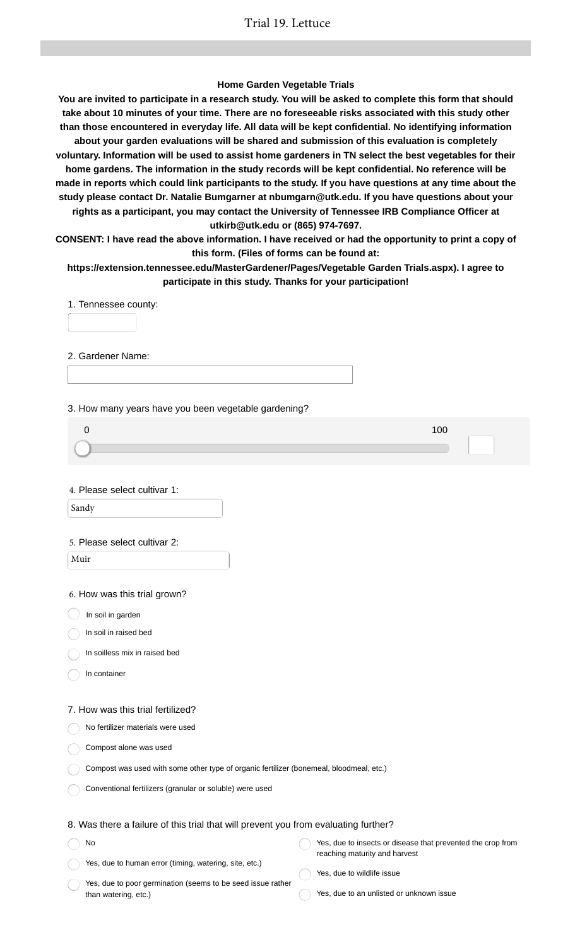### **Home Garden Vegetable Trials**

**You are invited to participate in a research study. You will be asked to complete this form that should take about 10 minutes of your time. There are no foreseeable risks associated with this study other than those encountered in everyday life. All data will be kept confidential. No identifying information about your garden evaluations will be shared and submission of this evaluation is completely voluntary. Information will be used to assist home gardeners in TN select the best vegetables for their home gardens. The information in the study records will be kept confidential. No reference will be made in reports which could link participants to the study. If you have questions at any time about the study please contact Dr. Natalie Bumgarner at nbumgarn@utk.edu. If you have questions about your rights as a participant, you may contact the University of Tennessee IRB Compliance Officer at utkirb@utk.edu or (865) 974-7697.**

**CONSENT: I have read the above information. I have received or had the opportunity to print a copy of this form. (Files of forms can be found at:**

**https://extension.tennessee.edu/MasterGardener/Pages/Vegetable Garden Trials.aspx). I agree to participate in this study. Thanks for your participation!**

1. Tennessee county:

2. Gardener Name:

3. How many years have you been vegetable gardening?

| 100 |
|-----|
|     |
|     |

4. Please select cultivar 1:

Sandy

#### 5. Please select cultivar 2:

Muir

6. How was this trial grown?

 $\big)$  In soil in garden

In soil in raised bed

In soilless mix in raised bed

In container

#### 7. How was this trial fertilized?

No fertilizer materials were used

Compost alone was used

| Compost was used with some other type of organic fertilizer (bonemeal, bloodmeal, etc.) |  |  |
|-----------------------------------------------------------------------------------------|--|--|
|-----------------------------------------------------------------------------------------|--|--|

Conventional fertilizers (granular or soluble) were used

### 8. Was there a failure of this trial that will prevent you from evaluating further?

| No                                                     | Yes, due to insects or disease that prevented the crop from |
|--------------------------------------------------------|-------------------------------------------------------------|
|                                                        | reaching maturity and harvest                               |
| Yes, due to human error (timing, watering, site, etc.) |                                                             |

Yes, due to poor germination (seems to be seed issue rather than watering, etc.)

- Yes, due to wildlife issue
	- Yes, due to an unlisted or unknown issue